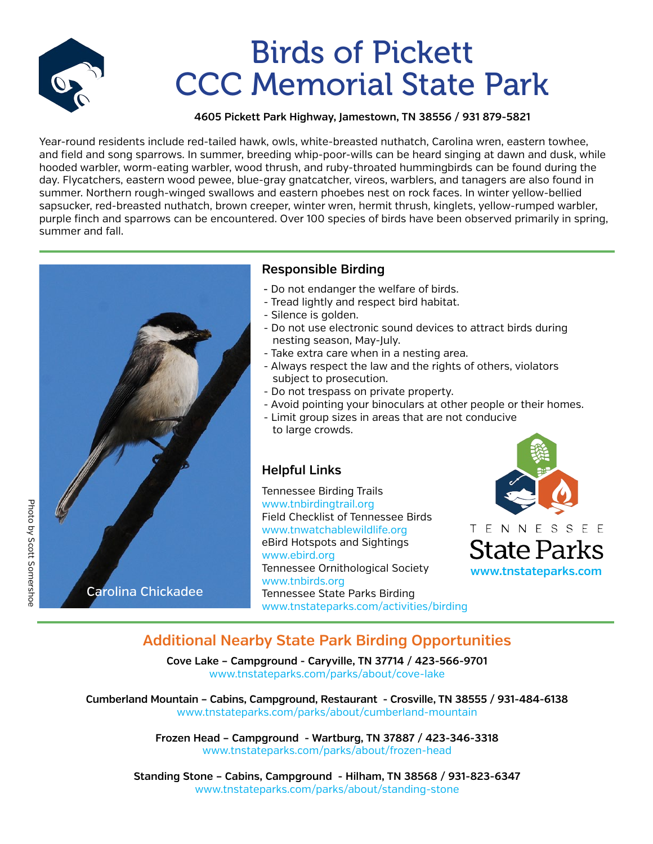

# Birds of Pickett CCC Memorial State Park

### **4605 Pickett Park Highway, Jamestown, TN 38556 / 931 879-5821**

Year-round residents include red-tailed hawk, owls, white-breasted nuthatch, Carolina wren, eastern towhee, and field and song sparrows. In summer, breeding whip-poor-wills can be heard singing at dawn and dusk, while hooded warbler, worm-eating warbler, wood thrush, and ruby-throated hummingbirds can be found during the day. Flycatchers, eastern wood pewee, blue-gray gnatcatcher, vireos, warblers, and tanagers are also found in summer. Northern rough-winged swallows and eastern phoebes nest on rock faces. In winter yellow-bellied sapsucker, red-breasted nuthatch, brown creeper, winter wren, hermit thrush, kinglets, yellow-rumped warbler, purple finch and sparrows can be encountered. Over 100 species of birds have been observed primarily in spring, summer and fall.



### **Responsible Birding**

- Do not endanger the welfare of birds.
- Tread lightly and respect bird habitat.
- Silence is golden.
- Do not use electronic sound devices to attract birds during nesting season, May-July.
- Take extra care when in a nesting area.
- Always respect the law and the rights of others, violators subject to prosecution.
- Do not trespass on private property.
- Avoid pointing your binoculars at other people or their homes.
- Limit group sizes in areas that are not conducive to large crowds.

### **Helpful Links**

Tennessee Birding Trails www.tnbirdingtrail.org Field Checklist of Tennessee Birds www.tnwatchablewildlife.org eBird Hotspots and Sightings www.ebird.org Tennessee Ornithological Society www.tnbirds.org Tennessee State Parks Birding www.tnstateparks.com/activities/birding



## **Additional Nearby State Park Birding Opportunities**

**Cove Lake – Campground - Caryville, TN 37714 / 423-566-9701** www.tnstateparks.com/parks/about/cove-lake

**Cumberland Mountain – Cabins, Campground, Restaurant - Crosville, TN 38555 / 931-484-6138** www.tnstateparks.com/parks/about/cumberland-mountain

> **Frozen Head – Campground - Wartburg, TN 37887 / 423-346-3318** www.tnstateparks.com/parks/about/frozen-head

**Standing Stone – Cabins, Campground - Hilham, TN 38568 / 931-823-6347** www.tnstateparks.com/parks/about/standing-stone